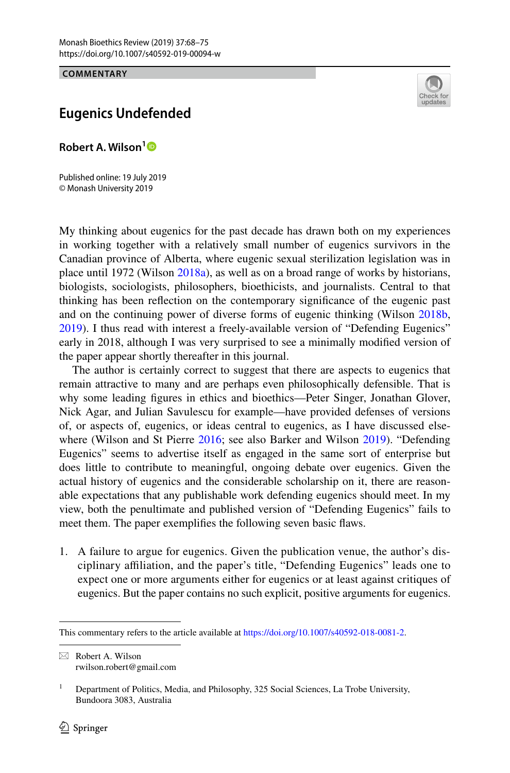**COMMENTARY**

## Check fo update

## **Eugenics Undefended**

**Robert A. Wilson[1](http://orcid.org/0000-0002-8034-0317)**

Published online: 19 July 2019 © Monash University 2019

My thinking about eugenics for the past decade has drawn both on my experiences in working together with a relatively small number of eugenics survivors in the Canadian province of Alberta, where eugenic sexual sterilization legislation was in place until 1972 (Wilson [2018a](#page-7-0)), as well as on a broad range of works by historians, biologists, sociologists, philosophers, bioethicists, and journalists. Central to that thinking has been refection on the contemporary signifcance of the eugenic past and on the continuing power of diverse forms of eugenic thinking (Wilson [2018b,](#page-7-1) [2019](#page-7-2)). I thus read with interest a freely-available version of "Defending Eugenics" early in 2018, although I was very surprised to see a minimally modifed version of the paper appear shortly thereafter in this journal.

The author is certainly correct to suggest that there are aspects to eugenics that remain attractive to many and are perhaps even philosophically defensible. That is why some leading fgures in ethics and bioethics—Peter Singer, Jonathan Glover, Nick Agar, and Julian Savulescu for example—have provided defenses of versions of, or aspects of, eugenics, or ideas central to eugenics, as I have discussed elsewhere (Wilson and St Pierre [2016;](#page-7-3) see also Barker and Wilson [2019\)](#page-6-0). "Defending Eugenics" seems to advertise itself as engaged in the same sort of enterprise but does little to contribute to meaningful, ongoing debate over eugenics. Given the actual history of eugenics and the considerable scholarship on it, there are reasonable expectations that any publishable work defending eugenics should meet. In my view, both the penultimate and published version of "Defending Eugenics" fails to meet them. The paper exemplifes the following seven basic faws.

1. A failure to argue for eugenics. Given the publication venue, the author's disciplinary afliation, and the paper's title, "Defending Eugenics" leads one to expect one or more arguments either for eugenics or at least against critiques of eugenics. But the paper contains no such explicit, positive arguments for eugenics.

 $\boxtimes$  Robert A. Wilson rwilson.robert@gmail.com

This commentary refers to the article available at <https://doi.org/10.1007/s40592-018-0081-2>.

<sup>&</sup>lt;sup>1</sup> Department of Politics, Media, and Philosophy, 325 Social Sciences, La Trobe University, Bundoora 3083, Australia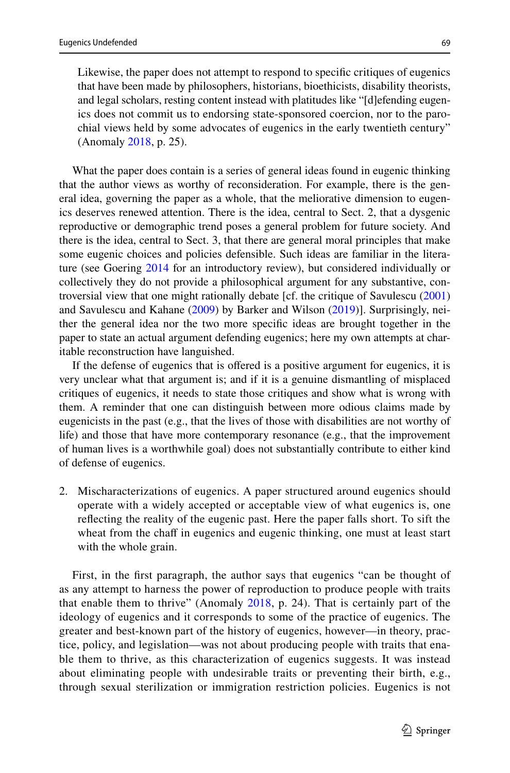Likewise, the paper does not attempt to respond to specifc critiques of eugenics that have been made by philosophers, historians, bioethicists, disability theorists, and legal scholars, resting content instead with platitudes like "[d]efending eugenics does not commit us to endorsing state-sponsored coercion, nor to the parochial views held by some advocates of eugenics in the early twentieth century" (Anomaly [2018](#page-6-1), p. 25).

What the paper does contain is a series of general ideas found in eugenic thinking that the author views as worthy of reconsideration. For example, there is the general idea, governing the paper as a whole, that the meliorative dimension to eugenics deserves renewed attention. There is the idea, central to Sect. 2, that a dysgenic reproductive or demographic trend poses a general problem for future society. And there is the idea, central to Sect. 3, that there are general moral principles that make some eugenic choices and policies defensible. Such ideas are familiar in the literature (see Goering [2014](#page-6-2) for an introductory review), but considered individually or collectively they do not provide a philosophical argument for any substantive, controversial view that one might rationally debate [cf. the critique of Savulescu [\(2001](#page-7-4)) and Savulescu and Kahane [\(2009](#page-7-5)) by Barker and Wilson [\(2019](#page-6-0))]. Surprisingly, neither the general idea nor the two more specifc ideas are brought together in the paper to state an actual argument defending eugenics; here my own attempts at charitable reconstruction have languished.

If the defense of eugenics that is ofered is a positive argument for eugenics, it is very unclear what that argument is; and if it is a genuine dismantling of misplaced critiques of eugenics, it needs to state those critiques and show what is wrong with them. A reminder that one can distinguish between more odious claims made by eugenicists in the past (e.g., that the lives of those with disabilities are not worthy of life) and those that have more contemporary resonance (e.g., that the improvement of human lives is a worthwhile goal) does not substantially contribute to either kind of defense of eugenics.

2. Mischaracterizations of eugenics. A paper structured around eugenics should operate with a widely accepted or acceptable view of what eugenics is, one refecting the reality of the eugenic past. Here the paper falls short. To sift the wheat from the chaff in eugenics and eugenic thinking, one must at least start with the whole grain.

First, in the frst paragraph, the author says that eugenics "can be thought of as any attempt to harness the power of reproduction to produce people with traits that enable them to thrive" (Anomaly [2018,](#page-6-1) p. 24). That is certainly part of the ideology of eugenics and it corresponds to some of the practice of eugenics. The greater and best-known part of the history of eugenics, however—in theory, practice, policy, and legislation—was not about producing people with traits that enable them to thrive, as this characterization of eugenics suggests. It was instead about eliminating people with undesirable traits or preventing their birth, e.g., through sexual sterilization or immigration restriction policies. Eugenics is not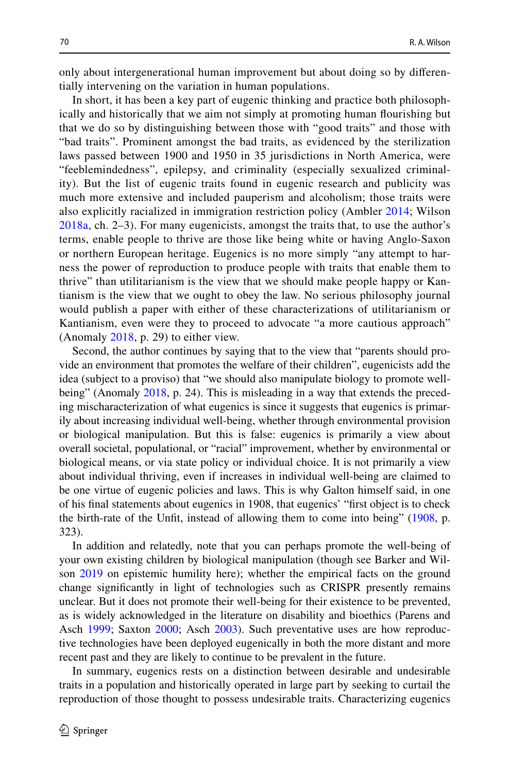only about intergenerational human improvement but about doing so by diferentially intervening on the variation in human populations.

In short, it has been a key part of eugenic thinking and practice both philosophically and historically that we aim not simply at promoting human fourishing but that we do so by distinguishing between those with "good traits" and those with "bad traits". Prominent amongst the bad traits, as evidenced by the sterilization laws passed between 1900 and 1950 in 35 jurisdictions in North America, were "feeblemindedness", epilepsy, and criminality (especially sexualized criminality). But the list of eugenic traits found in eugenic research and publicity was much more extensive and included pauperism and alcoholism; those traits were also explicitly racialized in immigration restriction policy (Ambler [2014](#page-6-3); Wilson [2018a](#page-7-0), ch. 2–3). For many eugenicists, amongst the traits that, to use the author's terms, enable people to thrive are those like being white or having Anglo-Saxon or northern European heritage. Eugenics is no more simply "any attempt to harness the power of reproduction to produce people with traits that enable them to thrive" than utilitarianism is the view that we should make people happy or Kantianism is the view that we ought to obey the law. No serious philosophy journal would publish a paper with either of these characterizations of utilitarianism or Kantianism, even were they to proceed to advocate "a more cautious approach" (Anomaly [2018,](#page-6-1) p. 29) to either view.

Second, the author continues by saying that to the view that "parents should provide an environment that promotes the welfare of their children", eugenicists add the idea (subject to a proviso) that "we should also manipulate biology to promote wellbeing" (Anomaly [2018,](#page-6-1) p. 24). This is misleading in a way that extends the preceding mischaracterization of what eugenics is since it suggests that eugenics is primarily about increasing individual well-being, whether through environmental provision or biological manipulation. But this is false: eugenics is primarily a view about overall societal, populational, or "racial" improvement, whether by environmental or biological means, or via state policy or individual choice. It is not primarily a view about individual thriving, even if increases in individual well-being are claimed to be one virtue of eugenic policies and laws. This is why Galton himself said, in one of his fnal statements about eugenics in 1908, that eugenics' "frst object is to check the birth-rate of the Unft, instead of allowing them to come into being" ([1908,](#page-6-4) p. 323).

In addition and relatedly, note that you can perhaps promote the well-being of your own existing children by biological manipulation (though see Barker and Wilson [2019](#page-6-0) on epistemic humility here); whether the empirical facts on the ground change signifcantly in light of technologies such as CRISPR presently remains unclear. But it does not promote their well-being for their existence to be prevented, as is widely acknowledged in the literature on disability and bioethics (Parens and Asch [1999](#page-7-6); Saxton [2000;](#page-7-7) Asch [2003\)](#page-6-5). Such preventative uses are how reproductive technologies have been deployed eugenically in both the more distant and more recent past and they are likely to continue to be prevalent in the future.

In summary, eugenics rests on a distinction between desirable and undesirable traits in a population and historically operated in large part by seeking to curtail the reproduction of those thought to possess undesirable traits. Characterizing eugenics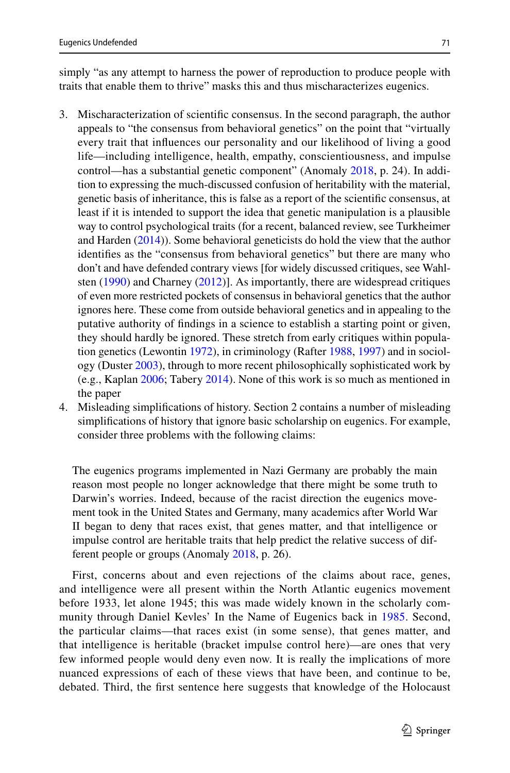simply "as any attempt to harness the power of reproduction to produce people with traits that enable them to thrive" masks this and thus mischaracterizes eugenics.

- 3. Mischaracterization of scientifc consensus. In the second paragraph, the author appeals to "the consensus from behavioral genetics" on the point that "virtually every trait that infuences our personality and our likelihood of living a good life—including intelligence, health, empathy, conscientiousness, and impulse control—has a substantial genetic component" (Anomaly [2018](#page-6-1), p. 24). In addition to expressing the much-discussed confusion of heritability with the material, genetic basis of inheritance, this is false as a report of the scientifc consensus, at least if it is intended to support the idea that genetic manipulation is a plausible way to control psychological traits (for a recent, balanced review, see Turkheimer and Harden ([2014\)](#page-7-8)). Some behavioral geneticists do hold the view that the author identifes as the "consensus from behavioral genetics" but there are many who don't and have defended contrary views [for widely discussed critiques, see Wahlsten ([1990](#page-7-9)) and Charney [\(2012\)](#page-6-6)]. As importantly, there are widespread critiques of even more restricted pockets of consensus in behavioral genetics that the author ignores here. These come from outside behavioral genetics and in appealing to the putative authority of fndings in a science to establish a starting point or given, they should hardly be ignored. These stretch from early critiques within population genetics (Lewontin [1972](#page-7-10)), in criminology (Rafter [1988,](#page-7-11) [1997\)](#page-7-12) and in sociology (Duster [2003\)](#page-6-7), through to more recent philosophically sophisticated work by (e.g., Kaplan [2006](#page-6-8); Tabery [2014](#page-7-13)). None of this work is so much as mentioned in the paper
- 4. Misleading simplifcations of history. Section 2 contains a number of misleading simplifcations of history that ignore basic scholarship on eugenics. For example, consider three problems with the following claims:

The eugenics programs implemented in Nazi Germany are probably the main reason most people no longer acknowledge that there might be some truth to Darwin's worries. Indeed, because of the racist direction the eugenics movement took in the United States and Germany, many academics after World War II began to deny that races exist, that genes matter, and that intelligence or impulse control are heritable traits that help predict the relative success of different people or groups (Anomaly [2018](#page-6-1), p. 26).

First, concerns about and even rejections of the claims about race, genes, and intelligence were all present within the North Atlantic eugenics movement before 1933, let alone 1945; this was made widely known in the scholarly community through Daniel Kevles' In the Name of Eugenics back in [1985](#page-7-14). Second, the particular claims—that races exist (in some sense), that genes matter, and that intelligence is heritable (bracket impulse control here)—are ones that very few informed people would deny even now. It is really the implications of more nuanced expressions of each of these views that have been, and continue to be, debated. Third, the frst sentence here suggests that knowledge of the Holocaust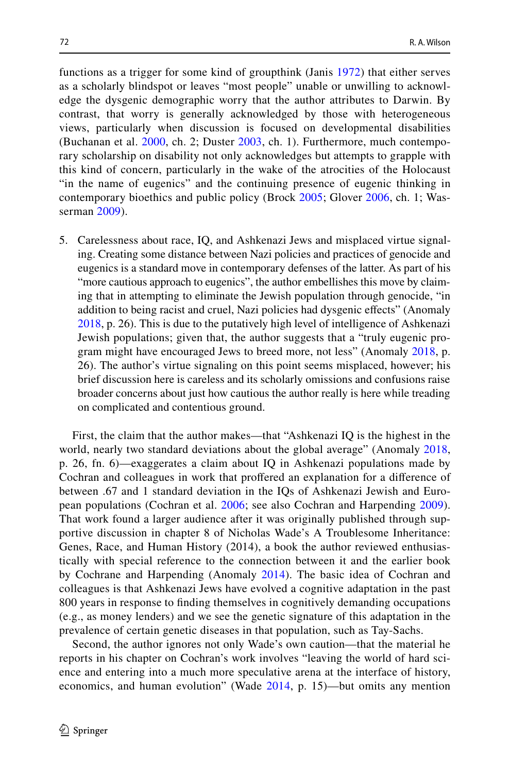functions as a trigger for some kind of groupthink (Janis [1972\)](#page-6-9) that either serves as a scholarly blindspot or leaves "most people" unable or unwilling to acknowledge the dysgenic demographic worry that the author attributes to Darwin. By contrast, that worry is generally acknowledged by those with heterogeneous views, particularly when discussion is focused on developmental disabilities (Buchanan et al. [2000,](#page-6-10) ch. 2; Duster [2003,](#page-6-7) ch. 1). Furthermore, much contemporary scholarship on disability not only acknowledges but attempts to grapple with this kind of concern, particularly in the wake of the atrocities of the Holocaust "in the name of eugenics" and the continuing presence of eugenic thinking in contemporary bioethics and public policy (Brock [2005](#page-6-11); Glover [2006,](#page-6-12) ch. 1; Wasserman [2009](#page-7-15)).

5. Carelessness about race, IQ, and Ashkenazi Jews and misplaced virtue signaling. Creating some distance between Nazi policies and practices of genocide and eugenics is a standard move in contemporary defenses of the latter. As part of his "more cautious approach to eugenics", the author embellishes this move by claiming that in attempting to eliminate the Jewish population through genocide, "in addition to being racist and cruel, Nazi policies had dysgenic efects" (Anomaly [2018](#page-6-1), p. 26). This is due to the putatively high level of intelligence of Ashkenazi Jewish populations; given that, the author suggests that a "truly eugenic program might have encouraged Jews to breed more, not less" (Anomaly [2018](#page-6-1), p. 26). The author's virtue signaling on this point seems misplaced, however; his brief discussion here is careless and its scholarly omissions and confusions raise broader concerns about just how cautious the author really is here while treading on complicated and contentious ground.

First, the claim that the author makes—that "Ashkenazi IQ is the highest in the world, nearly two standard deviations about the global average" (Anomaly [2018,](#page-6-1) p. 26, fn. 6)—exaggerates a claim about IQ in Ashkenazi populations made by Cochran and colleagues in work that profered an explanation for a diference of between .67 and 1 standard deviation in the IQs of Ashkenazi Jewish and European populations (Cochran et al. [2006](#page-6-13); see also Cochran and Harpending [2009](#page-6-14)). That work found a larger audience after it was originally published through supportive discussion in chapter 8 of Nicholas Wade's A Troublesome Inheritance: Genes, Race, and Human History (2014), a book the author reviewed enthusiastically with special reference to the connection between it and the earlier book by Cochrane and Harpending (Anomaly [2014\)](#page-6-15). The basic idea of Cochran and colleagues is that Ashkenazi Jews have evolved a cognitive adaptation in the past 800 years in response to fnding themselves in cognitively demanding occupations (e.g., as money lenders) and we see the genetic signature of this adaptation in the prevalence of certain genetic diseases in that population, such as Tay-Sachs.

Second, the author ignores not only Wade's own caution—that the material he reports in his chapter on Cochran's work involves "leaving the world of hard science and entering into a much more speculative arena at the interface of history, economics, and human evolution" (Wade [2014](#page-7-16), p. 15)—but omits any mention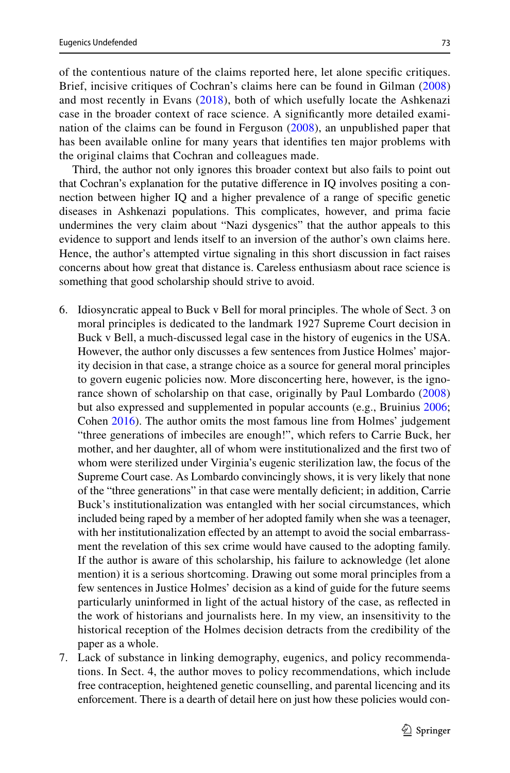of the contentious nature of the claims reported here, let alone specifc critiques. Brief, incisive critiques of Cochran's claims here can be found in Gilman [\(2008](#page-6-16)) and most recently in Evans [\(2018\)](#page-6-17), both of which usefully locate the Ashkenazi case in the broader context of race science. A signifcantly more detailed examination of the claims can be found in Ferguson ([2008](#page-6-18)), an unpublished paper that has been available online for many years that identifes ten major problems with the original claims that Cochran and colleagues made.

Third, the author not only ignores this broader context but also fails to point out that Cochran's explanation for the putative diference in IQ involves positing a connection between higher IQ and a higher prevalence of a range of specifc genetic diseases in Ashkenazi populations. This complicates, however, and prima facie undermines the very claim about "Nazi dysgenics" that the author appeals to this evidence to support and lends itself to an inversion of the author's own claims here. Hence, the author's attempted virtue signaling in this short discussion in fact raises concerns about how great that distance is. Careless enthusiasm about race science is something that good scholarship should strive to avoid.

- 6. Idiosyncratic appeal to Buck v Bell for moral principles. The whole of Sect. 3 on moral principles is dedicated to the landmark 1927 Supreme Court decision in Buck v Bell, a much-discussed legal case in the history of eugenics in the USA. However, the author only discusses a few sentences from Justice Holmes' majority decision in that case, a strange choice as a source for general moral principles to govern eugenic policies now. More disconcerting here, however, is the ignorance shown of scholarship on that case, originally by Paul Lombardo [\(2008\)](#page-7-17) but also expressed and supplemented in popular accounts (e.g., Bruinius [2006;](#page-6-19) Cohen [2016](#page-6-20)). The author omits the most famous line from Holmes' judgement "three generations of imbeciles are enough!", which refers to Carrie Buck, her mother, and her daughter, all of whom were institutionalized and the frst two of whom were sterilized under Virginia's eugenic sterilization law, the focus of the Supreme Court case. As Lombardo convincingly shows, it is very likely that none of the "three generations" in that case were mentally defcient; in addition, Carrie Buck's institutionalization was entangled with her social circumstances, which included being raped by a member of her adopted family when she was a teenager, with her institutionalization effected by an attempt to avoid the social embarrassment the revelation of this sex crime would have caused to the adopting family. If the author is aware of this scholarship, his failure to acknowledge (let alone mention) it is a serious shortcoming. Drawing out some moral principles from a few sentences in Justice Holmes' decision as a kind of guide for the future seems particularly uninformed in light of the actual history of the case, as refected in the work of historians and journalists here. In my view, an insensitivity to the historical reception of the Holmes decision detracts from the credibility of the paper as a whole.
- 7. Lack of substance in linking demography, eugenics, and policy recommendations. In Sect. 4, the author moves to policy recommendations, which include free contraception, heightened genetic counselling, and parental licencing and its enforcement. There is a dearth of detail here on just how these policies would con-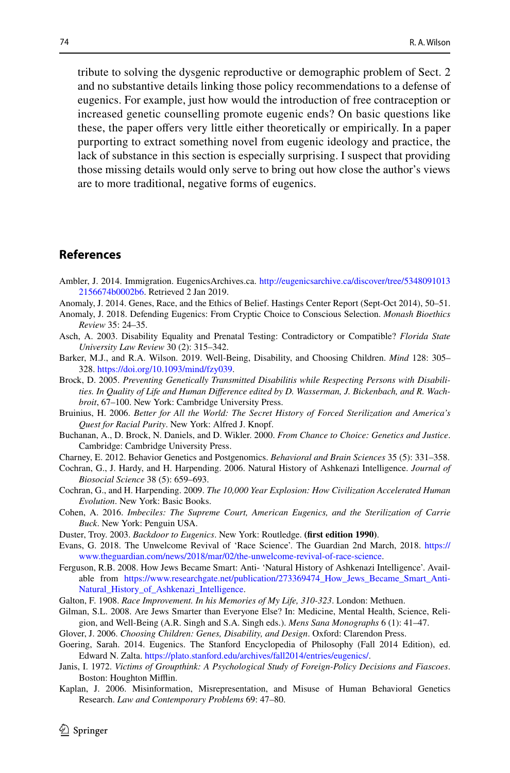tribute to solving the dysgenic reproductive or demographic problem of Sect. 2 and no substantive details linking those policy recommendations to a defense of eugenics. For example, just how would the introduction of free contraception or increased genetic counselling promote eugenic ends? On basic questions like these, the paper offers very little either theoretically or empirically. In a paper purporting to extract something novel from eugenic ideology and practice, the lack of substance in this section is especially surprising. I suspect that providing those missing details would only serve to bring out how close the author's views are to more traditional, negative forms of eugenics.

## **References**

- <span id="page-6-3"></span>Ambler, J. 2014. Immigration. EugenicsArchives.ca. [http://eugenicsarchive.ca/discover/tree/5348091013](http://eugenicsarchive.ca/discover/tree/53480910132156674b0002b6) [2156674b0002b6](http://eugenicsarchive.ca/discover/tree/53480910132156674b0002b6). Retrieved 2 Jan 2019.
- <span id="page-6-15"></span>Anomaly, J. 2014. Genes, Race, and the Ethics of Belief. Hastings Center Report (Sept-Oct 2014), 50–51.
- <span id="page-6-1"></span>Anomaly, J. 2018. Defending Eugenics: From Cryptic Choice to Conscious Selection. *Monash Bioethics Review* 35: 24–35.
- <span id="page-6-5"></span>Asch, A. 2003. Disability Equality and Prenatal Testing: Contradictory or Compatible? *Florida State University Law Review* 30 (2): 315–342.
- <span id="page-6-0"></span>Barker, M.J., and R.A. Wilson. 2019. Well-Being, Disability, and Choosing Children. *Mind* 128: 305– 328.<https://doi.org/10.1093/mind/fzy039>.
- <span id="page-6-11"></span>Brock, D. 2005. *Preventing Genetically Transmitted Disabilitis while Respecting Persons with Disabilities. In Quality of Life and Human Diference edited by D. Wasserman, J. Bickenbach, and R. Wachbroit*, 67–100. New York: Cambridge University Press.
- <span id="page-6-19"></span>Bruinius, H. 2006. *Better for All the World: The Secret History of Forced Sterilization and America's Quest for Racial Purity*. New York: Alfred J. Knopf.
- <span id="page-6-10"></span>Buchanan, A., D. Brock, N. Daniels, and D. Wikler. 2000. *From Chance to Choice: Genetics and Justice*. Cambridge: Cambridge University Press.
- <span id="page-6-6"></span>Charney, E. 2012. Behavior Genetics and Postgenomics. *Behavioral and Brain Sciences* 35 (5): 331–358.
- <span id="page-6-13"></span>Cochran, G., J. Hardy, and H. Harpending. 2006. Natural History of Ashkenazi Intelligence. *Journal of Biosocial Science* 38 (5): 659–693.
- <span id="page-6-14"></span>Cochran, G., and H. Harpending. 2009. *The 10,000 Year Explosion: How Civilization Accelerated Human Evolution*. New York: Basic Books.
- <span id="page-6-20"></span>Cohen, A. 2016. *Imbeciles: The Supreme Court, American Eugenics, and the Sterilization of Carrie Buck*. New York: Penguin USA.
- <span id="page-6-7"></span>Duster, Troy. 2003. *Backdoor to Eugenics*. New York: Routledge. **(frst edition 1990)**.
- <span id="page-6-17"></span>Evans, G. 2018. The Unwelcome Revival of 'Race Science'. The Guardian 2nd March, 2018. [https://](https://www.theguardian.com/news/2018/mar/02/the-unwelcome-revival-of-race-science) [www.theguardian.com/news/2018/mar/02/the-unwelcome-revival-of-race-science](https://www.theguardian.com/news/2018/mar/02/the-unwelcome-revival-of-race-science).
- <span id="page-6-18"></span>Ferguson, R.B. 2008. How Jews Became Smart: Anti- 'Natural History of Ashkenazi Intelligence'. Available from [https://www.researchgate.net/publication/273369474\\_How\\_Jews\\_Became\\_Smart\\_Anti-](https://www.researchgate.net/publication/273369474_How_Jews_Became_Smart_Anti-Natural_History_of_Ashkenazi_Intelligence)[Natural\\_History\\_of\\_Ashkenazi\\_Intelligence.](https://www.researchgate.net/publication/273369474_How_Jews_Became_Smart_Anti-Natural_History_of_Ashkenazi_Intelligence)
- <span id="page-6-4"></span>Galton, F. 1908. *Race Improvement. In his Memories of My Life, 310-323*. London: Methuen.
- <span id="page-6-16"></span>Gilman, S.L. 2008. Are Jews Smarter than Everyone Else? In: Medicine, Mental Health, Science, Religion, and Well-Being (A.R. Singh and S.A. Singh eds.). *Mens Sana Monographs* 6 (1): 41–47.
- <span id="page-6-12"></span>Glover, J. 2006. *Choosing Children: Genes, Disability, and Design*. Oxford: Clarendon Press.
- <span id="page-6-2"></span>Goering, Sarah. 2014. Eugenics. The Stanford Encyclopedia of Philosophy (Fall 2014 Edition), ed. Edward N. Zalta. [https://plato.stanford.edu/archives/fall2014/entries/eugenics/.](https://plato.stanford.edu/archives/fall2014/entries/eugenics/)
- <span id="page-6-9"></span>Janis, I. 1972. *Victims of Groupthink: A Psychological Study of Foreign-Policy Decisions and Fiascoes*. Boston: Houghton Mifin.
- <span id="page-6-8"></span>Kaplan, J. 2006. Misinformation, Misrepresentation, and Misuse of Human Behavioral Genetics Research. *Law and Contemporary Problems* 69: 47–80.